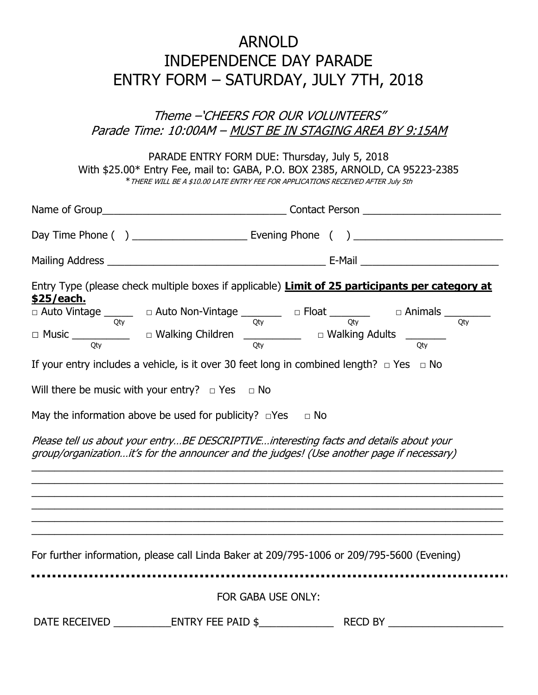## ARNOLD INDEPENDENCE DAY PARADE ENTRY FORM – SATURDAY, JULY 7TH, 2018

### Theme –'CHEERS FOR OUR VOLUNTEERS" Parade Time: 10:00AM - MUST BE IN STAGING AREA BY 9:15AM

PARADE ENTRY FORM DUE: Thursday, July 5, 2018 With \$25.00\* Entry Fee, mail to: GABA, P.O. BOX 2385, ARNOLD, CA 95223-2385 \*THERE WILL BE A \$10.00 LATE ENTRY FEE FOR APPLICATIONS RECEIVED AFTER July 5th

| \$25/each.                                                                                                                                                                                                                                                                                                              | Entry Type (please check multiple boxes if applicable) Limit of 25 participants per category at |
|-------------------------------------------------------------------------------------------------------------------------------------------------------------------------------------------------------------------------------------------------------------------------------------------------------------------------|-------------------------------------------------------------------------------------------------|
| $\Box$ Auto Vintage $\frac{1}{\text{Qty}}$ $\Box$ Auto Non-Vintage $\frac{1}{\text{Qty}}$ $\Box$ Float $\frac{1}{\text{Qty}}$ $\Box$ Animals $\frac{1}{\text{Qty}}$                                                                                                                                                     | Otv                                                                                             |
| $\Box$ Music _________________ $\Box$ Walking Children _________________ $\Box$ Walking Adults __________                                                                                                                                                                                                               | Otv                                                                                             |
| If your entry includes a vehicle, is it over 30 feet long in combined length? $\Box$ Yes $\Box$ No                                                                                                                                                                                                                      |                                                                                                 |
| Will there be music with your entry? $\Box$ Yes $\Box$ No<br>May the information above be used for publicity? $\Box$ Yes $\Box$ No<br>Please tell us about your entryBE DESCRIPTIVEinteresting facts and details about your<br>group/organizationit's for the announcer and the judges! (Use another page if necessary) |                                                                                                 |
| ,我们也不能在这里的人,我们也不能在这里的人,我们也不能在这里的人,我们也不能在这里的人,我们也不能在这里的人,我们也不能在这里的人,我们也不能在这里的人,我们也<br>For further information, please call Linda Baker at 209/795-1006 or 209/795-5600 (Evening)<br>FOR GABA USE ONLY:                                                                                                                   |                                                                                                 |
|                                                                                                                                                                                                                                                                                                                         |                                                                                                 |
|                                                                                                                                                                                                                                                                                                                         |                                                                                                 |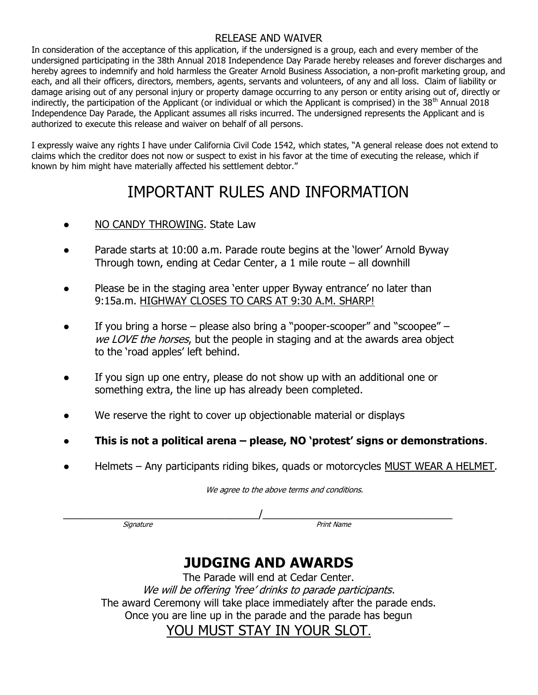#### RELEASE AND WAIVER

In consideration of the acceptance of this application, if the undersigned is a group, each and every member of the undersigned participating in the 38th Annual 2018 Independence Day Parade hereby releases and forever discharges and hereby agrees to indemnify and hold harmless the Greater Arnold Business Association, a non-profit marketing group, and each, and all their officers, directors, members, agents, servants and volunteers, of any and all loss. Claim of liability or damage arising out of any personal injury or property damage occurring to any person or entity arising out of, directly or indirectly, the participation of the Applicant (or individual or which the Applicant is comprised) in the  $38<sup>th</sup>$  Annual 2018 Independence Day Parade, the Applicant assumes all risks incurred. The undersigned represents the Applicant and is authorized to execute this release and waiver on behalf of all persons.

I expressly waive any rights I have under California Civil Code 1542, which states, "A general release does not extend to claims which the creditor does not now or suspect to exist in his favor at the time of executing the release, which if known by him might have materially affected his settlement debtor."

## IMPORTANT RULES AND INFORMATION

- NO CANDY THROWING. State Law
- Parade starts at 10:00 a.m. Parade route begins at the 'lower' Arnold Byway Through town, ending at Cedar Center, a 1 mile route – all downhill
- Please be in the staging area 'enter upper Byway entrance' no later than 9:15a.m. HIGHWAY CLOSES TO CARS AT 9:30 A.M. SHARP!
- If you bring a horse please also bring a "pooper-scooper" and "scoopee" we LOVE the horses, but the people in staging and at the awards area object to the 'road apples' left behind.
- If you sign up one entry, please do not show up with an additional one or something extra, the line up has already been completed.
- We reserve the right to cover up objectionable material or displays
- This is not a political arena  $-$  please, NO 'protest' signs or demonstrations.
- Helmets Any participants riding bikes, quads or motorcycles MUST WEAR A HELMET.

We agree to the above terms and conditions.

 $\overline{\phantom{a}}$  , and the contract of the contract of the contract of the contract of the contract of the contract of the contract of the contract of the contract of the contract of the contract of the contract of the contrac

Signature **Signature** Print Name **Print Name** 

## JUDGING AND AWARDS

The Parade will end at Cedar Center. We will be offering 'free' drinks to parade participants. The award Ceremony will take place immediately after the parade ends. Once you are line up in the parade and the parade has begun

YOU MUST STAY IN YOUR SLOT.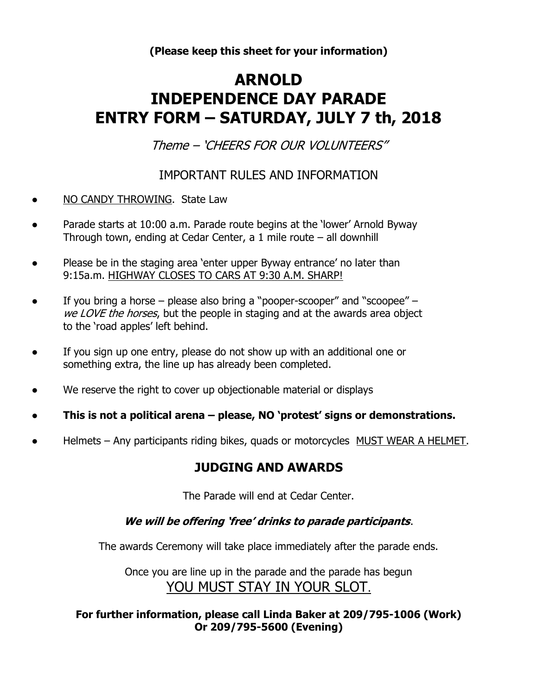(Please keep this sheet for your information)

# ARNOLD INDEPENDENCE DAY PARADE ENTRY FORM – SATURDAY, JULY 7 th, 2018

Theme – 'CHEERS FOR OUR VOLUNTEERS"

### IMPORTANT RULES AND INFORMATION

- NO CANDY THROWING. State Law
- Parade starts at 10:00 a.m. Parade route begins at the 'lower' Arnold Byway Through town, ending at Cedar Center, a 1 mile route – all downhill
- Please be in the staging area 'enter upper Byway entrance' no later than 9:15a.m. HIGHWAY CLOSES TO CARS AT 9:30 A.M. SHARP!
- If you bring a horse please also bring a "pooper-scooper" and "scoopee" we LOVE the horses, but the people in staging and at the awards area object to the 'road apples' left behind.
- If you sign up one entry, please do not show up with an additional one or something extra, the line up has already been completed.
- We reserve the right to cover up objectionable material or displays
- This is not a political arena please, NO 'protest' signs or demonstrations.
- Helmets Any participants riding bikes, quads or motorcycles MUST WEAR A HELMET.

### JUDGING AND AWARDS

The Parade will end at Cedar Center.

### We will be offering 'free' drinks to parade participants.

The awards Ceremony will take place immediately after the parade ends.

Once you are line up in the parade and the parade has begun YOU MUST STAY IN YOUR SLOT.

For further information, please call Linda Baker at 209/795-1006 (Work) Or 209/795-5600 (Evening)